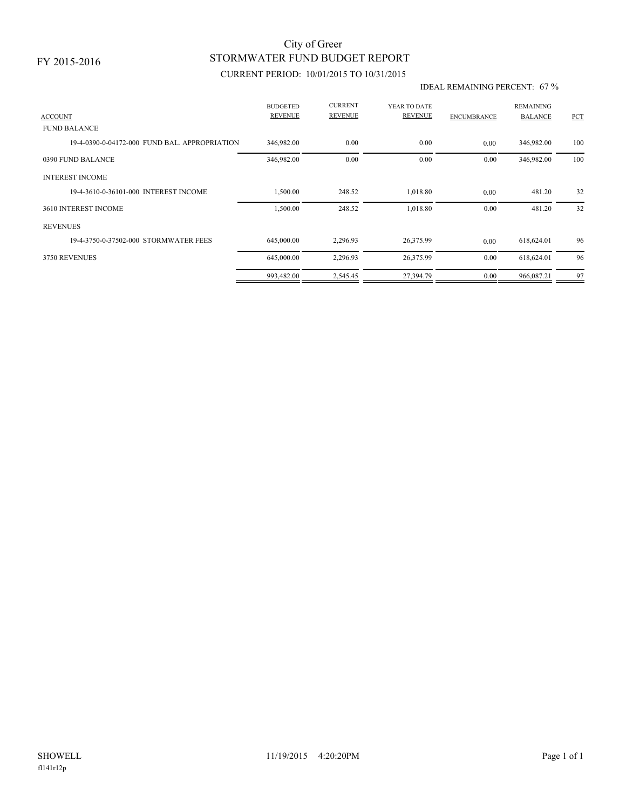## STORMWATER FUND BUDGET REPORT City of Greer

### CURRENT PERIOD: 10/01/2015 TO 10/31/2015

#### IDEAL REMAINING PERCENT: 67 %

| <b>BUDGETED</b><br><b>REVENUE</b> | <b>CURRENT</b><br><b>REVENUE</b>                                                                                                | YEAR TO DATE<br><b>REVENUE</b> | <b>ENCUMBRANCE</b> | <b>REMAINING</b><br><b>BALANCE</b> | PCT |
|-----------------------------------|---------------------------------------------------------------------------------------------------------------------------------|--------------------------------|--------------------|------------------------------------|-----|
|                                   |                                                                                                                                 |                                |                    |                                    |     |
| 346,982.00                        | 0.00                                                                                                                            | 0.00                           | 0.00               | 346,982.00                         | 100 |
| 346,982.00                        | 0.00                                                                                                                            | 0.00                           | 0.00               | 346,982.00                         | 100 |
|                                   |                                                                                                                                 |                                |                    |                                    |     |
| 1,500.00                          | 248.52                                                                                                                          | 1,018.80                       | 0.00               | 481.20                             | 32  |
| 1,500.00                          | 248.52                                                                                                                          | 1,018.80                       | 0.00               | 481.20                             | 32  |
|                                   |                                                                                                                                 |                                |                    |                                    |     |
| 645,000.00                        | 2,296.93                                                                                                                        | 26,375.99                      | 0.00               | 618,624.01                         | 96  |
| 645,000.00                        | 2,296.93                                                                                                                        | 26,375.99                      | 0.00               | 618,624.01                         | 96  |
| 993,482.00                        | 2,545.45                                                                                                                        | 27,394.79                      | 0.00               | 966,087.21                         | 97  |
|                                   | 19-4-0390-0-04172-000 FUND BAL, APPROPRIATION<br>19-4-3610-0-36101-000 INTEREST INCOME<br>19-4-3750-0-37502-000 STORMWATER FEES |                                |                    |                                    |     |